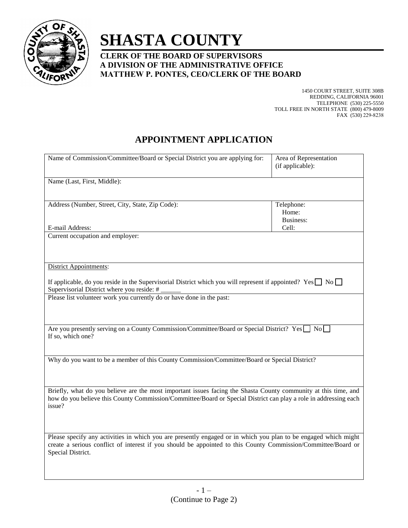

# **SHASTA COUNTY**

## **CLERK OF THE BOARD OF SUPERVISORS A DIVISION OF THE ADMINISTRATIVE OFFICE MATTHEW P. PONTES, CEO/CLERK OF THE BOARD**

1450 COURT STREET, SUITE 308B REDDING, CALIFORNIA 96001 TELEPHONE (530) 225-5550 TOLL FREE IN NORTH STATE (800) 479-8009 FAX (530) 229-8238

## **APPOINTMENT APPLICATION**

| Name of Commission/Committee/Board or Special District you are applying for:                                                                                                                                                                          | Area of Representation<br>(if applicable): |
|-------------------------------------------------------------------------------------------------------------------------------------------------------------------------------------------------------------------------------------------------------|--------------------------------------------|
| Name (Last, First, Middle):                                                                                                                                                                                                                           |                                            |
| Address (Number, Street, City, State, Zip Code):                                                                                                                                                                                                      | Telephone:<br>Home:<br><b>Business:</b>    |
| E-mail Address:                                                                                                                                                                                                                                       | Cell:                                      |
| Current occupation and employer:                                                                                                                                                                                                                      |                                            |
| <b>District Appointments:</b>                                                                                                                                                                                                                         |                                            |
| If applicable, do you reside in the Supervisorial District which you will represent if appointed? Yes $\Box$ No $\Box$<br>Supervisorial District where you reside: #                                                                                  |                                            |
| Please list volunteer work you currently do or have done in the past:                                                                                                                                                                                 |                                            |
| Are you presently serving on a County Commission/Committee/Board or Special District? Yes $\Box$ No<br>If so, which one?                                                                                                                              |                                            |
| Why do you want to be a member of this County Commission/Committee/Board or Special District?                                                                                                                                                         |                                            |
| Briefly, what do you believe are the most important issues facing the Shasta County community at this time, and<br>how do you believe this County Commission/Committee/Board or Special District can play a role in addressing each<br>issue?         |                                            |
| Please specify any activities in which you are presently engaged or in which you plan to be engaged which might<br>create a serious conflict of interest if you should be appointed to this County Commission/Committee/Board or<br>Special District. |                                            |